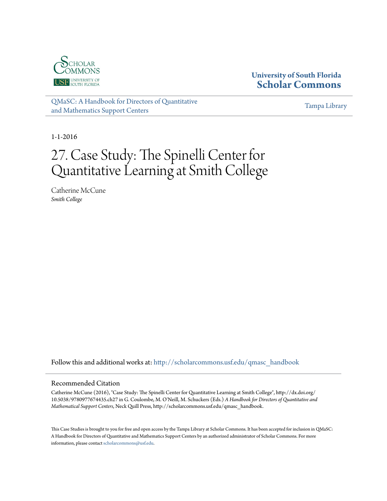

## **University of South Florida [Scholar Commons](http://scholarcommons.usf.edu?utm_source=scholarcommons.usf.edu%2Fqmasc_handbook%2F27&utm_medium=PDF&utm_campaign=PDFCoverPages)**

[QMaSC: A Handbook for Directors of Quantitative](http://scholarcommons.usf.edu/qmasc_handbook?utm_source=scholarcommons.usf.edu%2Fqmasc_handbook%2F27&utm_medium=PDF&utm_campaign=PDFCoverPages) [and Mathematics Support Centers](http://scholarcommons.usf.edu/qmasc_handbook?utm_source=scholarcommons.usf.edu%2Fqmasc_handbook%2F27&utm_medium=PDF&utm_campaign=PDFCoverPages)

[Tampa Library](http://scholarcommons.usf.edu/tlib?utm_source=scholarcommons.usf.edu%2Fqmasc_handbook%2F27&utm_medium=PDF&utm_campaign=PDFCoverPages)

1-1-2016

# 27. Case Study: The Spinelli Center for Quantitative Learning at Smith College

Catherine McCune *Smith College*

Follow this and additional works at: [http://scholarcommons.usf.edu/qmasc\\_handbook](http://scholarcommons.usf.edu/qmasc_handbook?utm_source=scholarcommons.usf.edu%2Fqmasc_handbook%2F27&utm_medium=PDF&utm_campaign=PDFCoverPages)

#### Recommended Citation

Catherine McCune (2016), "Case Study: The Spinelli Center for Quantitative Learning at Smith College", http://dx.doi.org/ 10.5038/9780977674435.ch27 in G. Coulombe, M. O'Neill, M. Schuckers (Eds.) *A Handbook for Directors of Quantitative and Mathematical Support Centers*, Neck Quill Press, http://scholarcommons.usf.edu/qmasc\_handbook.

This Case Studies is brought to you for free and open access by the Tampa Library at Scholar Commons. It has been accepted for inclusion in QMaSC: A Handbook for Directors of Quantitative and Mathematics Support Centers by an authorized administrator of Scholar Commons. For more information, please contact [scholarcommons@usf.edu.](mailto:scholarcommons@usf.edu)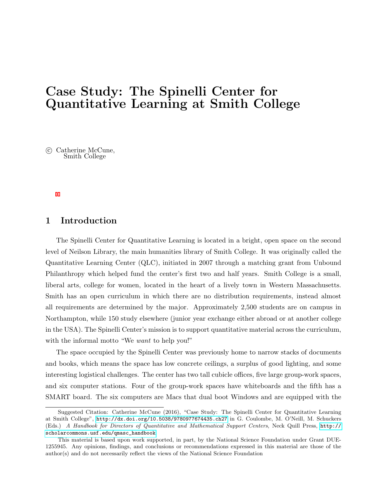## Case Study: The Spinelli Center for Quantitative Learning at Smith College

 c Catherine McCune, Smith College

## 1 Introduction

The Spinelli Center for Quantitative Learning is located in a bright, open space on the second level of Neilson Library, the main humanities library of Smith College. It was originally called the Quantitative Learning Center (QLC), initiated in 2007 through a matching grant from Unbound Philanthropy which helped fund the center's first two and half years. Smith College is a small, liberal arts, college for women, located in the heart of a lively town in Western Massachusetts. Smith has an open curriculum in which there are no distribution requirements, instead almost all requirements are determined by the major. Approximately 2,500 students are on campus in Northampton, while 150 study elsewhere (junior year exchange either abroad or at another college in the USA). The Spinelli Center's mission is to support quantitative material across the curriculum, with the informal motto "We want to help you!"

The space occupied by the Spinelli Center was previously home to narrow stacks of documents and books, which means the space has low concrete ceilings, a surplus of good lighting, and some interesting logistical challenges. The center has two tall cubicle offices, five large group-work spaces, and six computer stations. Four of the group-work spaces have whiteboards and the fifth has a SMART board. The six computers are Macs that dual boot Windows and are equipped with the

Suggested Citation: Catherine McCune (2016), "Case Study: The Spinelli Center for Quantitative Learning at Smith College", <http://dx.doi.org/10.5038/9780977674435.ch27> in G. Coulombe, M. O'Neill, M. Schuckers (Eds.) A Handbook for Directors of Quantitative and Mathematical Support Centers, Neck Quill Press, [http://](http://scholarcommons.usf.edu/qmasc_handbook) [scholarcommons.usf.edu/qmasc\\_handbook](http://scholarcommons.usf.edu/qmasc_handbook).

This material is based upon work supported, in part, by the National Science Foundation under Grant DUE-1255945. Any opinions, findings, and conclusions or recommendations expressed in this material are those of the author(s) and do not necessarily reflect the views of the National Science Foundation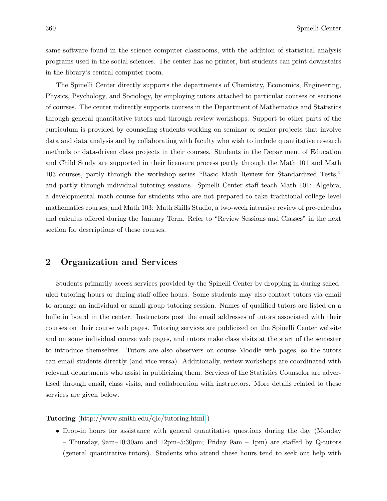same software found in the science computer classrooms, with the addition of statistical analysis programs used in the social sciences. The center has no printer, but students can print downstairs in the library's central computer room.

The Spinelli Center directly supports the departments of Chemistry, Economics, Engineering, Physics, Psychology, and Sociology, by employing tutors attached to particular courses or sections of courses. The center indirectly supports courses in the Department of Mathematics and Statistics through general quantitative tutors and through review workshops. Support to other parts of the curriculum is provided by counseling students working on seminar or senior projects that involve data and data analysis and by collaborating with faculty who wish to include quantitative research methods or data-driven class projects in their courses. Students in the Department of Education and Child Study are supported in their licensure process partly through the Math 101 and Math 103 courses, partly through the workshop series "Basic Math Review for Standardized Tests," and partly through individual tutoring sessions. Spinelli Center staff teach Math 101: Algebra, a developmental math course for students who are not prepared to take traditional college level mathematics courses, and Math 103: Math Skills Studio, a two-week intensive review of pre-calculus and calculus offered during the January Term. Refer to "Review Sessions and Classes" in the next section for descriptions of these courses.

## 2 Organization and Services

Students primarily access services provided by the Spinelli Center by dropping in during scheduled tutoring hours or during staff office hours. Some students may also contact tutors via email to arrange an individual or small-group tutoring session. Names of qualified tutors are listed on a bulletin board in the center. Instructors post the email addresses of tutors associated with their courses on their course web pages. Tutoring services are publicized on the Spinelli Center website and on some individual course web pages, and tutors make class visits at the start of the semester to introduce themselves. Tutors are also observers on course Moodle web pages, so the tutors can email students directly (and vice-versa). Additionally, review workshops are coordinated with relevant departments who assist in publicizing them. Services of the Statistics Counselor are advertised through email, class visits, and collaboration with instructors. More details related to these services are given below.

#### Tutoring [\(http://www.smith.edu/qlc/tutoring.html](http://www.smith.edu/qlc/tutoring.html) )

• Drop-in hours for assistance with general quantitative questions during the day (Monday – Thursday, 9am–10:30am and 12pm–5:30pm; Friday 9am – 1pm) are staffed by Q-tutors (general quantitative tutors). Students who attend these hours tend to seek out help with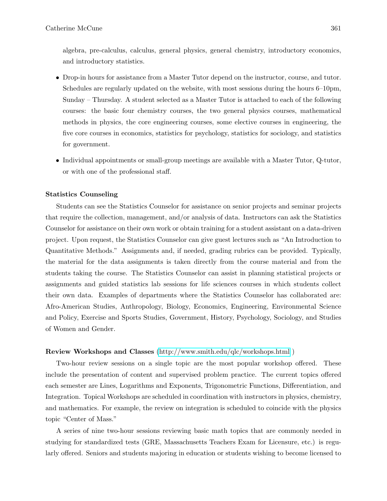algebra, pre-calculus, calculus, general physics, general chemistry, introductory economics, and introductory statistics.

- Drop-in hours for assistance from a Master Tutor depend on the instructor, course, and tutor. Schedules are regularly updated on the website, with most sessions during the hours 6–10pm, Sunday – Thursday. A student selected as a Master Tutor is attached to each of the following courses: the basic four chemistry courses, the two general physics courses, mathematical methods in physics, the core engineering courses, some elective courses in engineering, the five core courses in economics, statistics for psychology, statistics for sociology, and statistics for government.
- Individual appointments or small-group meetings are available with a Master Tutor, Q-tutor, or with one of the professional staff.

#### Statistics Counseling

Students can see the Statistics Counselor for assistance on senior projects and seminar projects that require the collection, management, and/or analysis of data. Instructors can ask the Statistics Counselor for assistance on their own work or obtain training for a student assistant on a data-driven project. Upon request, the Statistics Counselor can give guest lectures such as "An Introduction to Quantitative Methods." Assignments and, if needed, grading rubrics can be provided. Typically, the material for the data assignments is taken directly from the course material and from the students taking the course. The Statistics Counselor can assist in planning statistical projects or assignments and guided statistics lab sessions for life sciences courses in which students collect their own data. Examples of departments where the Statistics Counselor has collaborated are: Afro-American Studies, Anthropology, Biology, Economics, Engineering, Environmental Science and Policy, Exercise and Sports Studies, Government, History, Psychology, Sociology, and Studies of Women and Gender.

#### Review Workshops and Classes [\(http://www.smith.edu/qlc/workshops.html](http://www.smith.edu/qlc/workshops.html) )

Two-hour review sessions on a single topic are the most popular workshop offered. These include the presentation of content and supervised problem practice. The current topics offered each semester are Lines, Logarithms and Exponents, Trigonometric Functions, Differentiation, and Integration. Topical Workshops are scheduled in coordination with instructors in physics, chemistry, and mathematics. For example, the review on integration is scheduled to coincide with the physics topic "Center of Mass."

A series of nine two-hour sessions reviewing basic math topics that are commonly needed in studying for standardized tests (GRE, Massachusetts Teachers Exam for Licensure, etc.) is regularly offered. Seniors and students majoring in education or students wishing to become licensed to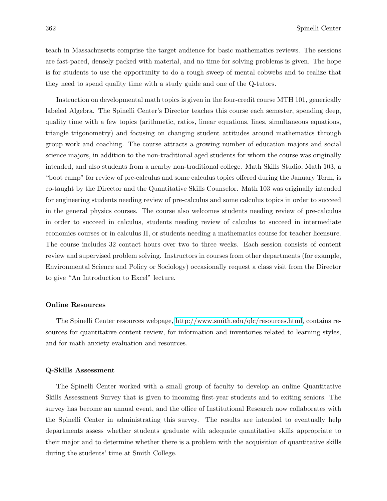teach in Massachusetts comprise the target audience for basic mathematics reviews. The sessions are fast-paced, densely packed with material, and no time for solving problems is given. The hope is for students to use the opportunity to do a rough sweep of mental cobwebs and to realize that they need to spend quality time with a study guide and one of the Q-tutors.

Instruction on developmental math topics is given in the four-credit course MTH 101, generically labeled Algebra. The Spinelli Center's Director teaches this course each semester, spending deep, quality time with a few topics (arithmetic, ratios, linear equations, lines, simultaneous equations, triangle trigonometry) and focusing on changing student attitudes around mathematics through group work and coaching. The course attracts a growing number of education majors and social science majors, in addition to the non-traditional aged students for whom the course was originally intended, and also students from a nearby non-traditional college. Math Skills Studio, Math 103, a "boot camp" for review of pre-calculus and some calculus topics offered during the January Term, is co-taught by the Director and the Quantitative Skills Counselor. Math 103 was originally intended for engineering students needing review of pre-calculus and some calculus topics in order to succeed in the general physics courses. The course also welcomes students needing review of pre-calculus in order to succeed in calculus, students needing review of calculus to succeed in intermediate economics courses or in calculus II, or students needing a mathematics course for teacher licensure. The course includes 32 contact hours over two to three weeks. Each session consists of content review and supervised problem solving. Instructors in courses from other departments (for example, Environmental Science and Policy or Sociology) occasionally request a class visit from the Director to give "An Introduction to Excel" lecture.

#### Online Resources

The Spinelli Center resources webpage, [http://www.smith.edu/qlc/resources.html,](http://www.smith.edu/qlc/resources.html) contains resources for quantitative content review, for information and inventories related to learning styles, and for math anxiety evaluation and resources.

#### Q-Skills Assessment

The Spinelli Center worked with a small group of faculty to develop an online Quantitative Skills Assessment Survey that is given to incoming first-year students and to exiting seniors. The survey has become an annual event, and the office of Institutional Research now collaborates with the Spinelli Center in administrating this survey. The results are intended to eventually help departments assess whether students graduate with adequate quantitative skills appropriate to their major and to determine whether there is a problem with the acquisition of quantitative skills during the students' time at Smith College.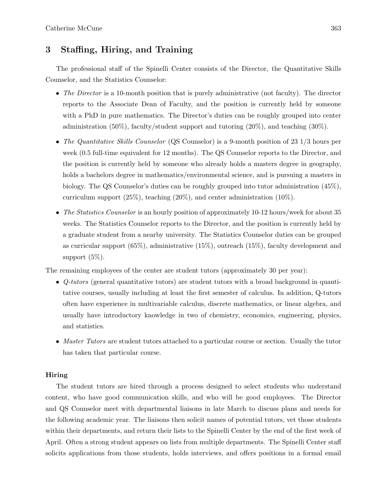## 3 Staffing, Hiring, and Training

The professional staff of the Spinelli Center consists of the Director, the Quantitative Skills Counselor, and the Statistics Counselor:

- The Director is a 10-month position that is purely administrative (not faculty). The director reports to the Associate Dean of Faculty, and the position is currently held by someone with a PhD in pure mathematics. The Director's duties can be roughly grouped into center administration (50%), faculty/student support and tutoring  $(20\%)$ , and teaching  $(30\%)$ .
- The Quantitative Skills Counselor (QS Counselor) is a 9-month position of 23 1/3 hours per week (0.5 full-time equivalent for 12 months). The QS Counselor reports to the Director, and the position is currently held by someone who already holds a masters degree in geography, holds a bachelors degree in mathematics/environmental science, and is pursuing a masters in biology. The QS Counselor's duties can be roughly grouped into tutor administration (45%), curriculum support (25%), teaching (20%), and center administration (10%).
- The Statistics Counselor is an hourly position of approximately 10-12 hours/week for about 35 weeks. The Statistics Counselor reports to the Director, and the position is currently held by a graduate student from a nearby university. The Statistics Counselor duties can be grouped as curricular support (65%), administrative (15%), outreach (15%), faculty development and support  $(5\%)$ .

The remaining employees of the center are student tutors (approximately 30 per year):

- Q-tutors (general quantitative tutors) are student tutors with a broad background in quantitative courses, usually including at least the first semester of calculus. In addition, Q-tutors often have experience in multivariable calculus, discrete mathematics, or linear algebra, and usually have introductory knowledge in two of chemistry, economics, engineering, physics, and statistics.
- Master Tutors are student tutors attached to a particular course or section. Usually the tutor has taken that particular course.

#### Hiring

The student tutors are hired through a process designed to select students who understand content, who have good communication skills, and who will be good employees. The Director and QS Counselor meet with departmental liaisons in late March to discuss plans and needs for the following academic year. The liaisons then solicit names of potential tutors, vet those students within their departments, and return their lists to the Spinelli Center by the end of the first week of April. Often a strong student appears on lists from multiple departments. The Spinelli Center staff solicits applications from those students, holds interviews, and offers positions in a formal email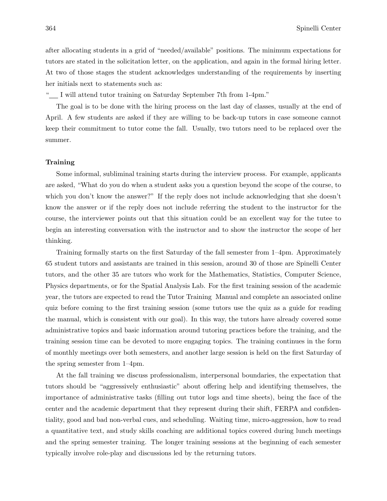after allocating students in a grid of "needed/available" positions. The minimum expectations for tutors are stated in the solicitation letter, on the application, and again in the formal hiring letter. At two of those stages the student acknowledges understanding of the requirements by inserting her initials next to statements such as:

" I will attend tutor training on Saturday September 7th from 1-4pm."

The goal is to be done with the hiring process on the last day of classes, usually at the end of April. A few students are asked if they are willing to be back-up tutors in case someone cannot keep their commitment to tutor come the fall. Usually, two tutors need to be replaced over the summer.

#### Training

Some informal, subliminal training starts during the interview process. For example, applicants are asked, "What do you do when a student asks you a question beyond the scope of the course, to which you don't know the answer?" If the reply does not include acknowledging that she doesn't know the answer or if the reply does not include referring the student to the instructor for the course, the interviewer points out that this situation could be an excellent way for the tutee to begin an interesting conversation with the instructor and to show the instructor the scope of her thinking.

Training formally starts on the first Saturday of the fall semester from 1–4pm. Approximately 65 student tutors and assistants are trained in this session, around 30 of those are Spinelli Center tutors, and the other 35 are tutors who work for the Mathematics, Statistics, Computer Science, Physics departments, or for the Spatial Analysis Lab. For the first training session of the academic year, the tutors are expected to read the Tutor Training Manual and complete an associated online quiz before coming to the first training session (some tutors use the quiz as a guide for reading the manual, which is consistent with our goal). In this way, the tutors have already covered some administrative topics and basic information around tutoring practices before the training, and the training session time can be devoted to more engaging topics. The training continues in the form of monthly meetings over both semesters, and another large session is held on the first Saturday of the spring semester from 1–4pm.

At the fall training we discuss professionalism, interpersonal boundaries, the expectation that tutors should be "aggressively enthusiastic" about offering help and identifying themselves, the importance of administrative tasks (filling out tutor logs and time sheets), being the face of the center and the academic department that they represent during their shift, FERPA and confidentiality, good and bad non-verbal cues, and scheduling. Waiting time, micro-aggression, how to read a quantitative text, and study skills coaching are additional topics covered during lunch meetings and the spring semester training. The longer training sessions at the beginning of each semester typically involve role-play and discussions led by the returning tutors.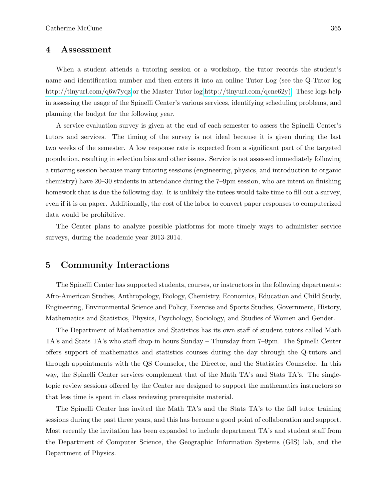### 4 Assessment

When a student attends a tutoring session or a workshop, the tutor records the student's name and identification number and then enters it into an online Tutor Log (see the Q-Tutor log <http://tinyurl.com/q6w7yqz> or the Master Tutor log [http://tinyurl.com/qcne62y\).](http://tinyurl.com/qcne62y)) These logs help in assessing the usage of the Spinelli Center's various services, identifying scheduling problems, and planning the budget for the following year.

A service evaluation survey is given at the end of each semester to assess the Spinelli Center's tutors and services. The timing of the survey is not ideal because it is given during the last two weeks of the semester. A low response rate is expected from a significant part of the targeted population, resulting in selection bias and other issues. Service is not assessed immediately following a tutoring session because many tutoring sessions (engineering, physics, and introduction to organic chemistry) have 20–30 students in attendance during the 7–9pm session, who are intent on finishing homework that is due the following day. It is unlikely the tutees would take time to fill out a survey, even if it is on paper. Additionally, the cost of the labor to convert paper responses to computerized data would be prohibitive.

The Center plans to analyze possible platforms for more timely ways to administer service surveys, during the academic year 2013-2014.

## 5 Community Interactions

The Spinelli Center has supported students, courses, or instructors in the following departments: Afro-American Studies, Anthropology, Biology, Chemistry, Economics, Education and Child Study, Engineering, Environmental Science and Policy, Exercise and Sports Studies, Government, History, Mathematics and Statistics, Physics, Psychology, Sociology, and Studies of Women and Gender.

The Department of Mathematics and Statistics has its own staff of student tutors called Math TA's and Stats TA's who staff drop-in hours Sunday – Thursday from 7–9pm. The Spinelli Center offers support of mathematics and statistics courses during the day through the Q-tutors and through appointments with the QS Counselor, the Director, and the Statistics Counselor. In this way, the Spinelli Center services complement that of the Math TA's and Stats TA's. The singletopic review sessions offered by the Center are designed to support the mathematics instructors so that less time is spent in class reviewing prerequisite material.

The Spinelli Center has invited the Math TA's and the Stats TA's to the fall tutor training sessions during the past three years, and this has become a good point of collaboration and support. Most recently the invitation has been expanded to include department TA's and student staff from the Department of Computer Science, the Geographic Information Systems (GIS) lab, and the Department of Physics.